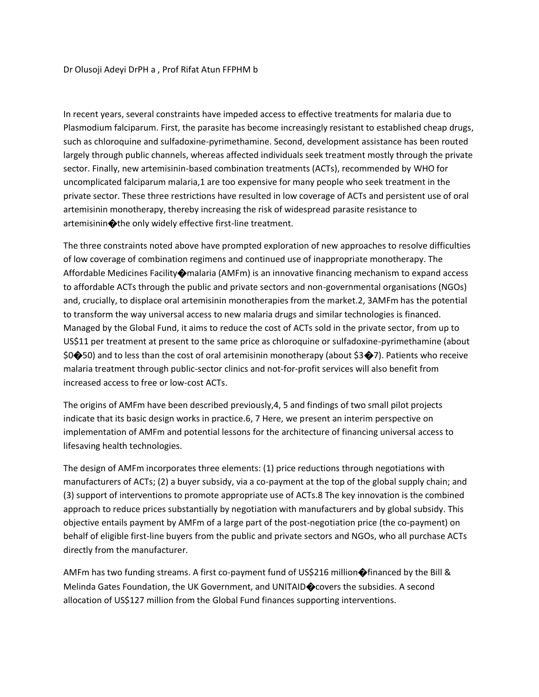In recent years, several constraints have impeded access to effective treatments for malaria due to Plasmodium falciparum. First, the parasite has become increasingly resistant to established cheap drugs, such as chloroquine and sulfadoxine-pyrimethamine. Second, development assistance has been routed largely through public channels, whereas affected individuals seek treatment mostly through the private sector. Finally, new artemisinin-based combination treatments (ACTs), recommended by WHO for uncomplicated falciparum malaria,1 are too expensive for many people who seek treatment in the private sector. These three restrictions have resulted in low coverage of ACTs and persistent use of oral artemisinin monotherapy, thereby increasing the risk of widespread parasite resistance to artemisinin  $\bigcirc$  the only widely effective first-line treatment.

The three constraints noted above have prompted exploration of new approaches to resolve difficulties of low coverage of combination regimens and continued use of inappropriate monotherapy. The Affordable Medicines Facility **O**malaria (AMFm) is an innovative financing mechanism to expand access to affordable ACTs through the public and private sectors and non-governmental organisations (NGOs) and, crucially, to displace oral artemisinin monotherapies from the market.2, 3AMFm has the potential to transform the way universal access to new malaria drugs and similar technologies is financed. Managed by the Global Fund, it aims to reduce the cost of ACTs sold in the private sector, from up to US\$11 per treatment at present to the same price as chloroquine or sulfadoxine-pyrimethamine (about \$0�50) and to less than the cost of oral artemisinin monotherapy (about \$3�7). Patients who receive malaria treatment through public-sector clinics and not-for-profit services will also benefit from increased access to free or low-cost ACTs.

The origins of AMFm have been described previously,4, 5 and findings of two small pilot projects indicate that its basic design works in practice.6, 7 Here, we present an interim perspective on implementation of AMFm and potential lessons for the architecture of financing universal access to lifesaving health technologies.

The design of AMFm incorporates three elements: (1) price reductions through negotiations with manufacturers of ACTs; (2) a buyer subsidy, via a co-payment at the top of the global supply chain; and (3) support of interventions to promote appropriate use of ACTs.8 The key innovation is the combined approach to reduce prices substantially by negotiation with manufacturers and by global subsidy. This objective entails payment by AMFm of a large part of the post-negotiation price (the co-payment) on behalf of eligible first-line buyers from the public and private sectors and NGOs, who all purchase ACTs directly from the manufacturer.

AMFm has two funding streams. A first co-payment fund of US\$216 million  $\diamond$  financed by the Bill & Melinda Gates Foundation, the UK Government, and UNITAID Covers the subsidies. A second allocation of US\$127 million from the Global Fund finances supporting interventions.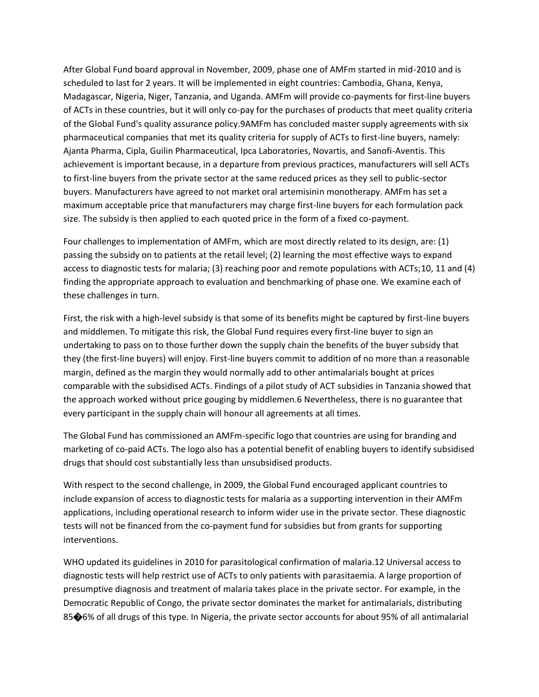After Global Fund board approval in November, 2009, phase one of AMFm started in mid-2010 and is scheduled to last for 2 years. It will be implemented in eight countries: Cambodia, Ghana, Kenya, Madagascar, Nigeria, Niger, Tanzania, and Uganda. AMFm will provide co-payments for first-line buyers of ACTs in these countries, but it will only co-pay for the purchases of products that meet quality criteria of the Global Fund's quality assurance policy.9AMFm has concluded master supply agreements with six pharmaceutical companies that met its quality criteria for supply of ACTs to first-line buyers, namely: Ajanta Pharma, Cipla, Guilin Pharmaceutical, Ipca Laboratories, Novartis, and Sanofi-Aventis. This achievement is important because, in a departure from previous practices, manufacturers will sell ACTs to first-line buyers from the private sector at the same reduced prices as they sell to public-sector buyers. Manufacturers have agreed to not market oral artemisinin monotherapy. AMFm has set a maximum acceptable price that manufacturers may charge first-line buyers for each formulation pack size. The subsidy is then applied to each quoted price in the form of a fixed co-payment.

Four challenges to implementation of AMFm, which are most directly related to its design, are: (1) passing the subsidy on to patients at the retail level; (2) learning the most effective ways to expand access to diagnostic tests for malaria; (3) reaching poor and remote populations with ACTs;10, 11 and (4) finding the appropriate approach to evaluation and benchmarking of phase one. We examine each of these challenges in turn.

First, the risk with a high-level subsidy is that some of its benefits might be captured by first-line buyers and middlemen. To mitigate this risk, the Global Fund requires every first-line buyer to sign an undertaking to pass on to those further down the supply chain the benefits of the buyer subsidy that they (the first-line buyers) will enjoy. First-line buyers commit to addition of no more than a reasonable margin, defined as the margin they would normally add to other antimalarials bought at prices comparable with the subsidised ACTs. Findings of a pilot study of ACT subsidies in Tanzania showed that the approach worked without price gouging by middlemen.6 Nevertheless, there is no guarantee that every participant in the supply chain will honour all agreements at all times.

The Global Fund has commissioned an AMFm-specific logo that countries are using for branding and marketing of co-paid ACTs. The logo also has a potential benefit of enabling buyers to identify subsidised drugs that should cost substantially less than unsubsidised products.

With respect to the second challenge, in 2009, the Global Fund encouraged applicant countries to include expansion of access to diagnostic tests for malaria as a supporting intervention in their AMFm applications, including operational research to inform wider use in the private sector. These diagnostic tests will not be financed from the co-payment fund for subsidies but from grants for supporting interventions.

WHO updated its guidelines in 2010 for parasitological confirmation of malaria.12 Universal access to diagnostic tests will help restrict use of ACTs to only patients with parasitaemia. A large proportion of presumptive diagnosis and treatment of malaria takes place in the private sector. For example, in the Democratic Republic of Congo, the private sector dominates the market for antimalarials, distributing 85 $\diamondsuit$ 6% of all drugs of this type. In Nigeria, the private sector accounts for about 95% of all antimalarial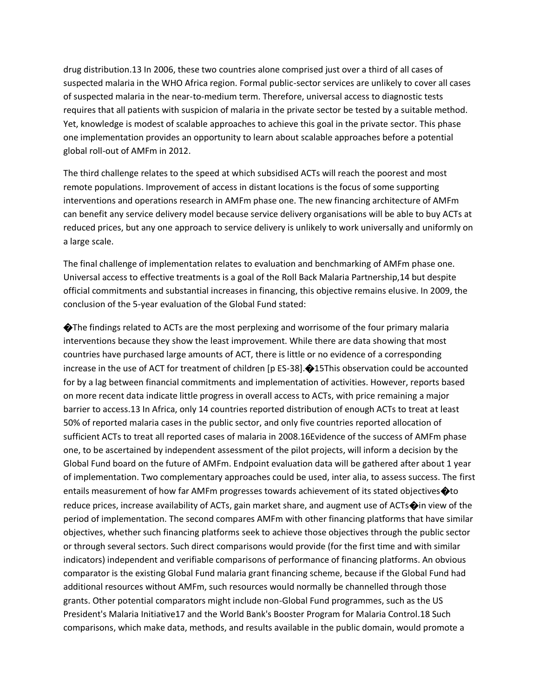drug distribution.13 In 2006, these two countries alone comprised just over a third of all cases of suspected malaria in the WHO Africa region. Formal public-sector services are unlikely to cover all cases of suspected malaria in the near-to-medium term. Therefore, universal access to diagnostic tests requires that all patients with suspicion of malaria in the private sector be tested by a suitable method. Yet, knowledge is modest of scalable approaches to achieve this goal in the private sector. This phase one implementation provides an opportunity to learn about scalable approaches before a potential global roll-out of AMFm in 2012.

The third challenge relates to the speed at which subsidised ACTs will reach the poorest and most remote populations. Improvement of access in distant locations is the focus of some supporting interventions and operations research in AMFm phase one. The new financing architecture of AMFm can benefit any service delivery model because service delivery organisations will be able to buy ACTs at reduced prices, but any one approach to service delivery is unlikely to work universally and uniformly on a large scale.

The final challenge of implementation relates to evaluation and benchmarking of AMFm phase one. Universal access to effective treatments is a goal of the Roll Back Malaria Partnership,14 but despite official commitments and substantial increases in financing, this objective remains elusive. In 2009, the conclusion of the 5-year evaluation of the Global Fund stated:

�The findings related to ACTs are the most perplexing and worrisome of the four primary malaria interventions because they show the least improvement. While there are data showing that most countries have purchased large amounts of ACT, there is little or no evidence of a corresponding increase in the use of ACT for treatment of children [p ES-38].�15This observation could be accounted for by a lag between financial commitments and implementation of activities. However, reports based on more recent data indicate little progress in overall access to ACTs, with price remaining a major barrier to access.13 In Africa, only 14 countries reported distribution of enough ACTs to treat at least 50% of reported malaria cases in the public sector, and only five countries reported allocation of sufficient ACTs to treat all reported cases of malaria in 2008.16Evidence of the success of AMFm phase one, to be ascertained by independent assessment of the pilot projects, will inform a decision by the Global Fund board on the future of AMFm. Endpoint evaluation data will be gathered after about 1 year of implementation. Two complementary approaches could be used, inter alia, to assess success. The first entails measurement of how far AMFm progresses towards achievement of its stated objectives  $\bigcirc$  to reduce prices, increase availability of ACTs, gain market share, and augment use of ACTs $\diamond$ in view of the period of implementation. The second compares AMFm with other financing platforms that have similar objectives, whether such financing platforms seek to achieve those objectives through the public sector or through several sectors. Such direct comparisons would provide (for the first time and with similar indicators) independent and verifiable comparisons of performance of financing platforms. An obvious comparator is the existing Global Fund malaria grant financing scheme, because if the Global Fund had additional resources without AMFm, such resources would normally be channelled through those grants. Other potential comparators might include non-Global Fund programmes, such as the US President's Malaria Initiative17 and the World Bank's Booster Program for Malaria Control.18 Such comparisons, which make data, methods, and results available in the public domain, would promote a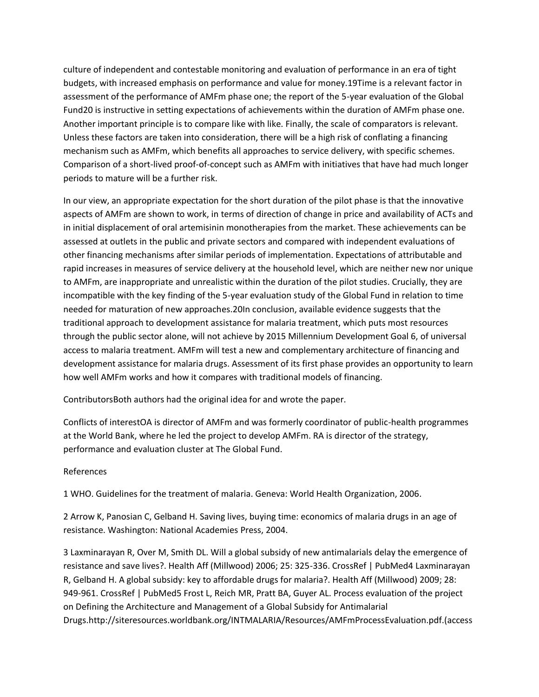culture of independent and contestable monitoring and evaluation of performance in an era of tight budgets, with increased emphasis on performance and value for money.19Time is a relevant factor in assessment of the performance of AMFm phase one; the report of the 5-year evaluation of the Global Fund20 is instructive in setting expectations of achievements within the duration of AMFm phase one. Another important principle is to compare like with like. Finally, the scale of comparators is relevant. Unless these factors are taken into consideration, there will be a high risk of conflating a financing mechanism such as AMFm, which benefits all approaches to service delivery, with specific schemes. Comparison of a short-lived proof-of-concept such as AMFm with initiatives that have had much longer periods to mature will be a further risk.

In our view, an appropriate expectation for the short duration of the pilot phase is that the innovative aspects of AMFm are shown to work, in terms of direction of change in price and availability of ACTs and in initial displacement of oral artemisinin monotherapies from the market. These achievements can be assessed at outlets in the public and private sectors and compared with independent evaluations of other financing mechanisms after similar periods of implementation. Expectations of attributable and rapid increases in measures of service delivery at the household level, which are neither new nor unique to AMFm, are inappropriate and unrealistic within the duration of the pilot studies. Crucially, they are incompatible with the key finding of the 5-year evaluation study of the Global Fund in relation to time needed for maturation of new approaches.20In conclusion, available evidence suggests that the traditional approach to development assistance for malaria treatment, which puts most resources through the public sector alone, will not achieve by 2015 Millennium Development Goal 6, of universal access to malaria treatment. AMFm will test a new and complementary architecture of financing and development assistance for malaria drugs. Assessment of its first phase provides an opportunity to learn how well AMFm works and how it compares with traditional models of financing.

ContributorsBoth authors had the original idea for and wrote the paper.

Conflicts of interestOA is director of AMFm and was formerly coordinator of public-health programmes at the World Bank, where he led the project to develop AMFm. RA is director of the strategy, performance and evaluation cluster at The Global Fund.

## References

1 WHO. Guidelines for the treatment of malaria. Geneva: World Health Organization, 2006.

2 Arrow K, Panosian C, Gelband H. Saving lives, buying time: economics of malaria drugs in an age of resistance. Washington: National Academies Press, 2004.

3 Laxminarayan R, Over M, Smith DL. Will a global subsidy of new antimalarials delay the emergence of resistance and save lives?. Health Aff (Millwood) 2006; 25: 325-336. CrossRef | PubMed4 Laxminarayan R, Gelband H. A global subsidy: key to affordable drugs for malaria?. Health Aff (Millwood) 2009; 28: 949-961. CrossRef | PubMed5 Frost L, Reich MR, Pratt BA, Guyer AL. Process evaluation of the project on Defining the Architecture and Management of a Global Subsidy for Antimalarial Drugs.http://siteresources.worldbank.org/INTMALARIA/Resources/AMFmProcessEvaluation.pdf.(access